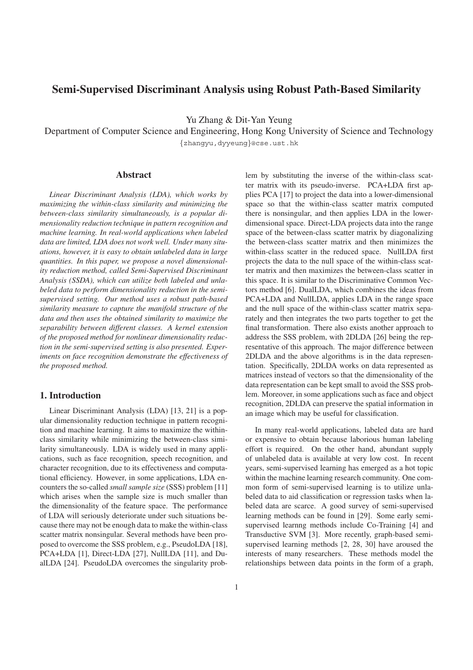# **Semi-Supervised Discriminant Analysis using Robust Path-Based Similarity**

Yu Zhang & Dit-Yan Yeung

Department of Computer Science and Engineering, Hong Kong University of Science and Technology

{zhangyu,dyyeung}@cse.ust.hk

### **Abstract**

*Linear Discriminant Analysis (LDA), which works by maximizing the within-class similarity and minimizing the between-class similarity simultaneously, is a popular dimensionality reduction technique in pattern recognition and machine learning. In real-world applications when labeled data are limited, LDA does not work well. Under many situations, however, it is easy to obtain unlabeled data in large quantities. In this paper, we propose a novel dimensionality reduction method, called Semi-Supervised Discriminant Analysis (SSDA), which can utilize both labeled and unlabeled data to perform dimensionality reduction in the semisupervised setting. Our method uses a robust path-based similarity measure to capture the manifold structure of the data and then uses the obtained similarity to maximize the separability between different classes. A kernel extension of the proposed method for nonlinear dimensionality reduction in the semi-supervised setting is also presented. Experiments on face recognition demonstrate the effectiveness of the proposed method.*

# **1. Introduction**

Linear Discriminant Analysis (LDA) [13, 21] is a popular dimensionality reduction technique in pattern recognition and machine learning. It aims to maximize the withinclass similarity while minimizing the between-class similarity simultaneously. LDA is widely used in many applications, such as face recognition, speech recognition, and character recognition, due to its effectiveness and computational efficiency. However, in some applications, LDA encounters the so-called *small sample size* (SSS) problem [11] which arises when the sample size is much smaller than the dimensionality of the feature space. The performance of LDA will seriously deteriorate under such situations because there may not be enough data to make the within-class scatter matrix nonsingular. Several methods have been proposed to overcome the SSS problem, e.g., PseudoLDA [18], PCA+LDA [1], Direct-LDA [27], NullLDA [11], and DualLDA [24]. PseudoLDA overcomes the singularity prob-

1

lem by substituting the inverse of the within-class scatter matrix with its pseudo-inverse. PCA+LDA first applies PCA [17] to project the data into a lower-dimensional space so that the within-class scatter matrix computed there is nonsingular, and then applies LDA in the lowerdimensional space. Direct-LDA projects data into the range space of the between-class scatter matrix by diagonalizing the between-class scatter matrix and then minimizes the within-class scatter in the reduced space. NullLDA first projects the data to the null space of the within-class scatter matrix and then maximizes the between-class scatter in this space. It is similar to the Discriminative Common Vectors method [6]. DualLDA, which combines the ideas from PCA+LDA and NullLDA, applies LDA in the range space and the null space of the within-class scatter matrix separately and then integrates the two parts together to get the final transformation. There also exists another approach to address the SSS problem, with 2DLDA [26] being the representative of this approach. The major difference between 2DLDA and the above algorithms is in the data representation. Specifically, 2DLDA works on data represented as matrices instead of vectors so that the dimensionality of the data representation can be kept small to avoid the SSS problem. Moreover, in some applications such as face and object recognition, 2DLDA can preserve the spatial information in an image which may be useful for classification.

In many real-world applications, labeled data are hard or expensive to obtain because laborious human labeling effort is required. On the other hand, abundant supply of unlabeled data is available at very low cost. In recent years, semi-supervised learning has emerged as a hot topic within the machine learning research community. One common form of semi-supervised learning is to utilize unlabeled data to aid classification or regression tasks when labeled data are scarce. A good survey of semi-supervised learning methods can be found in [29]. Some early semisupervised learnng methods include Co-Training [4] and Transductive SVM [3]. More recently, graph-based semisupervised learning methods [2, 28, 30] have aroused the interests of many researchers. These methods model the relationships between data points in the form of a graph,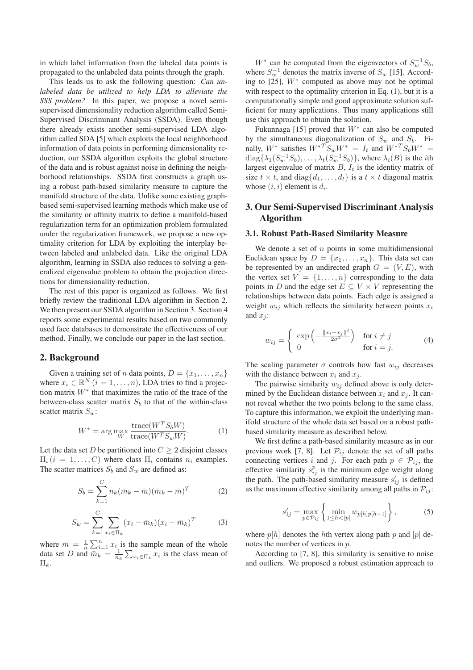in which label information from the labeled data points is propagated to the unlabeled data points through the graph.

This leads us to ask the following question: *Can unlabeled data be utilized to help LDA to alleviate the SSS problem?* In this paper, we propose a novel semisupervised dimensionality reduction algorithm called Semi-Supervised Discriminant Analysis (SSDA). Even though there already exists another semi-supervised LDA algorithm called SDA [5] which exploits the local neighborhood information of data points in performing dimensionality reduction, our SSDA algorithm exploits the global structure of the data and is robust against noise in defining the neighborhood relationships. SSDA first constructs a graph using a robust path-based similarity measure to capture the manifold structure of the data. Unlike some existing graphbased semi-supervised learning methods which make use of the similarity or affinity matrix to define a manifold-based regularization term for an optimization problem formulated under the regularization framework, we propose a new optimality criterion for LDA by exploiting the interplay between labeled and unlabeled data. Like the original LDA algorithm, learning in SSDA also reduces to solving a generalized eigenvalue problem to obtain the projection directions for dimensionality reduction.

The rest of this paper is organized as follows. We first briefly review the traditional LDA algorithm in Section 2. We then present our SSDA algorithm in Section 3. Section 4 reports some experimental results based on two commonly used face databases to demonstrate the effectiveness of our method. Finally, we conclude our paper in the last section.

## **2. Background**

Given a training set of *n* data points,  $D = \{x_1, \ldots, x_n\}$ where  $x_i \in \mathbb{R}^N$   $(i = 1, \ldots, n)$ , LDA tries to find a projection matrix W<sup>∗</sup> that maximizes the ratio of the trace of the between-class scatter matrix  $S_b$  to that of the within-class scatter matrix  $S_w$ :

$$
W^* = \arg\max_{W} \frac{\text{trace}(W^T S_b W)}{\text{trace}(W^T S_w W)}.
$$
 (1)

Let the data set D be partitioned into  $C \geq 2$  disjoint classes  $\Pi_i$   $(i = 1, \ldots, C)$  where class  $\Pi_i$  contains  $n_i$  examples. The scatter matrices  $S_b$  and  $S_w$  are defined as:

$$
S_b = \sum_{k=1}^{C} n_k (\bar{m}_k - \bar{m})(\bar{m}_k - \bar{m})^T
$$
 (2)

$$
S_w = \sum_{k=1}^{C} \sum_{x_i \in \Pi_k} (x_i - \bar{m}_k)(x_i - \bar{m}_k)^T
$$
 (3)

where  $\bar{m} = \frac{1}{n} \sum_{i=1}^{n} x_i$  is the sample mean of the whole data set *D* and  $\bar{m}_k = \frac{1}{n_k} \sum_{x_i \in \Pi_k} x_i$  is the class mean of  $\Pi_k$ .

W<sup>∗</sup> can be computed from the eigenvectors of  $S_w^{-1}S_b$ , where  $S_m^{-1}$  denotes the matrix inverse of  $S_w$  [15]. According to  $[25]$ ,  $W^*$  computed as above may not be optimal with respect to the optimality criterion in Eq. (1), but it is a computationally simple and good approximate solution sufficient for many applications. Thus many applications still use this approach to obtain the solution.

Fukunnaga [15] proved that  $W^*$  can also be computed by the simultaneous diagonalization of  $S_w$  and  $S_b$ . Finally,  $W^*$  satisfies  $W^{*T}S_wW^* = I_t$  and  $W^{*T}S_bW^* =$  $diag\{\lambda_1(S_w^{-1}S_b),\ldots,\lambda_t(S_w^{-1}S_b)\}\$ , where  $\lambda_i(B)$  is the *i*th largest eigenvalue of matrix  $B$ ,  $I_t$  is the identity matrix of size  $t \times t$ , and  $diag\{d_1, \ldots, d_t\}$  is a  $t \times t$  diagonal matrix whose  $(i, i)$  element is  $d_i$ .

# **3. Our Semi-Supervised Discriminant Analysis Algorithm**

#### **3.1. Robust Path-Based Similarity Measure**

We denote a set of  $n$  points in some multidimensional Euclidean space by  $D = \{x_1, \ldots, x_n\}$ . This data set can be represented by an undirected graph  $G = (V, E)$ , with the vertex set  $V = \{1, \ldots, n\}$  corresponding to the data points in D and the edge set  $E \subseteq V \times V$  representing the relationships between data points. Each edge is assigned a weight  $w_{ij}$  which reflects the similarity between points  $x_i$ and  $x_i$ :

$$
w_{ij} = \begin{cases} \exp\left(-\frac{\|x_i - x_j\|^2}{2\sigma^2}\right) & \text{for } i \neq j\\ 0 & \text{for } i = j. \end{cases}
$$
 (4)

The scaling parameter  $\sigma$  controls how fast  $w_{ij}$  decreases with the distance between  $x_i$  and  $x_j$ .

The pairwise similarity  $w_{ij}$  defined above is only determined by the Euclidean distance between  $x_i$  and  $x_j$ . It cannot reveal whether the two points belong to the same class. To capture this information, we exploit the underlying manifold structure of the whole data set based on a robust pathbased similarity measure as described below.

We first define a path-based similarity measure as in our previous work [7, 8]. Let  $\mathcal{P}_{ij}$  denote the set of all paths connecting vertices i and j. For each path  $p \in \mathcal{P}_{ij}$ , the effective similarity  $s_{ij}^p$  is the minimum edge weight along the path. The path-based similarity measure  $s'_{ij}$  is defined as the maximum effective similarity among all paths in  $P_{ij}$ :

$$
s'_{ij} = \max_{p \in \mathcal{P}_{ij}} \left\{ \min_{1 \le h < |p|} w_{p[h]p[h+1]} \right\},\tag{5}
$$

where  $p[h]$  denotes the hth vertex along path p and  $|p|$  denotes the number of vertices in p.

According to [7, 8], this similarity is sensitive to noise and outliers. We proposed a robust estimation approach to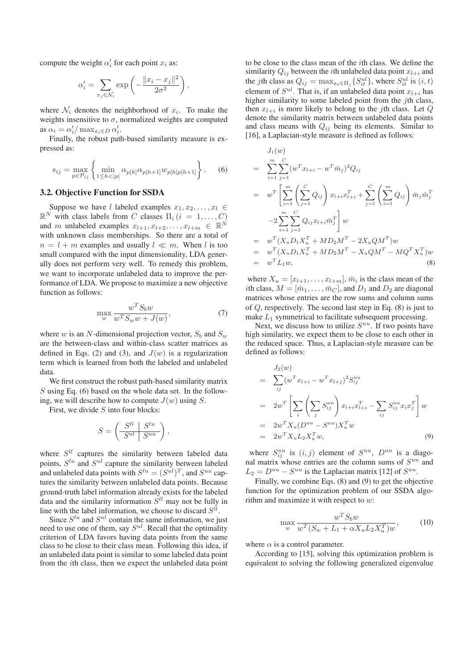compute the weight  $\alpha_i'$  for each point  $x_i$  as:

$$
\alpha_i' = \sum_{x_j \in \mathcal{N}_i} \exp\left(-\frac{\|x_i - x_j\|^2}{2\sigma^2}\right),\,
$$

where  $\mathcal{N}_i$  denotes the neighborhood of  $x_i$ . To make the weights insensitive to  $\sigma$ , normalized weights are computed as  $\alpha_i = \alpha'_i / \max_{x_i \in D} \alpha'_i$ .

Finally, the robust path-based similarity measure is expressed as:

$$
s_{ij} = \max_{p \in \mathcal{P}_{ij}} \left\{ \min_{1 \le h < |p|} \alpha_{p[h]} \alpha_{p[h+1]} w_{p[h]p[h+1]} \right\}.
$$
 (6)

#### **3.2. Objective Function for SSDA**

Suppose we have l labeled examples  $x_1, x_2, \ldots, x_l \in$  $\mathbb{R}^N$  with class labels from C classes  $\Pi_i$   $(i = 1, \ldots, C)$ and m unlabeled examples  $x_{l+1}, x_{l+2}, \ldots, x_{l+m} \in \mathbb{R}^N$ with unknown class memberships. So there are a total of  $n = l + m$  examples and usually  $l \ll m$ . When l is too small compared with the input dimensionality, LDA generally does not perform very well. To remedy this problem, we want to incorporate unlabeled data to improve the performance of LDA. We propose to maximize a new objective function as follows:

$$
\max_{w} \frac{w^T S_b w}{w^T S_w w + J(w)},\tag{7}
$$

where w is an N-dimensional projection vector,  $S_b$  and  $S_w$ are the between-class and within-class scatter matrices as defined in Eqs. (2) and (3), and  $J(w)$  is a regularization term which is learned from both the labeled and unlabeled data.

We first construct the robust path-based similarity matrix  $S$  using Eq. (6) based on the whole data set. In the following, we will describe how to compute  $J(w)$  using S.

First, we divide  $S$  into four blocks:

$$
S = \left(\begin{array}{c|c} S^{ll} & S^{lu} \\ \hline S^{ul} & S^{uu} \end{array}\right),
$$

where  $S^{ll}$  captures the similarity between labeled data points,  $S^{lu}$  and  $S^{ul}$  capture the similarity between labeled and unlabeled data points with  $S^{lu} = (S^{ul})^T$ , and  $S^{uu}$  captures the similarity between unlabeled data points. Because ground-truth label information already exists for the labeled data and the similarity information  $\dot{S}^{ll}$  may not be fully in line with the label information, we choose to discard  $S^{ll}$ .

Since  $S^{lu}$  and  $S^{ul}$  contain the same information, we just need to use one of them, say  $S^{ul}$ . Recall that the optimality criterion of LDA favors having data points from the same class to be close to their class mean. Following this idea, if an unlabeled data point is similar to some labeled data point from the ith class, then we expect the unlabeled data point to be close to the class mean of the ith class. We define the similarity  $Q_{ij}$  between the *i*th unlabeled data point  $x_{l+i}$  and the *j*th class as  $Q_{ij} = \max_{x_t \in \Pi_j} \{ S_{it}^{ul} \}$ , where  $S_{it}^{ul}$  is  $(i, t)$ element of  $S^{ul}$ . That is, if an unlabeled data point  $x_{l+i}$  has higher similarity to some labeled point from the jth class, then  $x_{l+i}$  is more likely to belong to the *j*th class. Let Q denote the similarity matrix between unlabeled data points and class means with  $Q_{ij}$  being its elements. Similar to [16], a Laplacian-style measure is defined as follows:

$$
J_1(w)
$$
  
=  $\sum_{i=1}^{m} \sum_{j=1}^{C} (w^T x_{l+i} - w^T \bar{m}_j)^2 Q_{ij}$   
=  $w^T \left[ \sum_{i=1}^{m} \left( \sum_{j=1}^{C} Q_{ij} \right) x_{l+i} x_{l+i}^T + \sum_{j=1}^{C} \left( \sum_{i=1}^{m} Q_{ij} \right) \bar{m}_j \bar{m}_j^T \right]$   
-2 $\sum_{i=1}^{m} \sum_{j=1}^{C} Q_{ij} x_{l+i} \bar{m}_j^T \right] w$   
=  $w^T (X_u D_1 X_u^T + M D_2 M^T - 2X_u Q M^T) w$   
=  $w^T (X_u D_1 X_u^T + M D_2 M^T - X_u Q M^T - M Q^T X_u^T) w$   
=  $w^T L_1 w,$  (8)

where  $X_u = [x_{l+1}, \ldots, x_{l+m}], \bar{m}_i$  is the class mean of the *i*th class,  $M = [\bar{m}_1, \ldots, \bar{m}_C]$ , and  $D_1$  and  $D_2$  are diagonal matrices whose entries are the row sums and column sums of Q, respectively. The second last step in Eq. (8) is just to make  $L_1$  symmetrical to facilitate subsequent processing.

Next, we discuss how to utilize  $S^{uu}$ . If two points have high similarity, we expect them to be close to each other in the reduced space. Thus, a Laplacian-style measure can be defined as follows:

$$
= \sum_{ij} (w^T x_{l+i} - w^T x_{l+j})^2 S_{ij}^{uu}
$$
  
\n
$$
= 2w^T \left[ \sum_i \left( \sum_j S_{ij}^{uu} \right) x_{l+i} x_{l+i}^T - \sum_{ij} S_{ij}^{uu} x_i x_j^T \right] w
$$
  
\n
$$
= 2w^T X_u (D^{uu} - S^{uu}) X_u^T w
$$
  
\n
$$
= 2w^T X_u L_2 X_u^T w,
$$
 (9)

where  $S_{ii}^{uu}$  is  $(i, j)$  element of  $S^{uu}$ ,  $D^{uu}$  is a diagonal matrix whose entries are the column sums of  $S^{uu}$  and  $L_2 = D^{uu} - S^{uu}$  is the Laplacian matrix [12] of  $S^{uu}$ .

Finally, we combine Eqs. (8) and (9) to get the objective function for the optimization problem of our SSDA algorithm and maximize it with respect to  $w$ :

$$
\max_{w} \frac{w^T S_b w}{w^T (S_w + L_1 + \alpha X_u L_2 X_u^T) w},
$$
\n(10)

where  $\alpha$  is a control parameter.

According to [15], solving this optimization problem is equivalent to solving the following generalized eigenvalue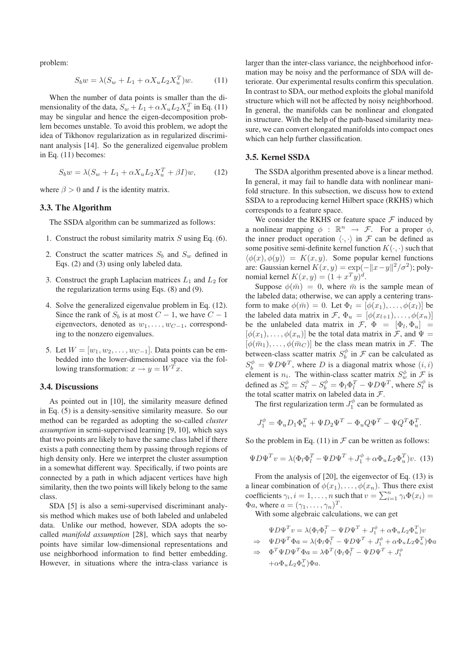problem:

$$
S_b w = \lambda (S_w + L_1 + \alpha X_u L_2 X_u^T) w.
$$
 (11)

When the number of data points is smaller than the dimensionality of the data,  $S_w + L_1 + \alpha X_u L_2 X_u^T$  in Eq. (11) may be singular and hence the eigen-decomposition problem becomes unstable. To avoid this problem, we adopt the idea of Tikhonov regularization as in regularized discriminant analysis [14]. So the generalized eigenvalue problem in Eq. (11) becomes:

$$
S_b w = \lambda (S_w + L_1 + \alpha X_u L_2 X_u^T + \beta I) w, \qquad (12)
$$

where  $\beta > 0$  and I is the identity matrix.

### **3.3. The Algorithm**

The SSDA algorithm can be summarized as follows:

- 1. Construct the robust similarity matrix  $S$  using Eq. (6).
- 2. Construct the scatter matrices  $S_b$  and  $S_w$  defined in Eqs. (2) and (3) using only labeled data.
- 3. Construct the graph Laplacian matrices  $L_1$  and  $L_2$  for the regularization terms using Eqs. (8) and (9).
- 4. Solve the generalized eigenvalue problem in Eq. (12). Since the rank of  $S_b$  is at most  $C - 1$ , we have  $C - 1$ eigenvectors, denoted as  $w_1, \ldots, w_{C-1}$ , corresponding to the nonzero eigenvalues.
- 5. Let  $W = [w_1, w_2, \dots, w_{C-1}]$ . Data points can be embedded into the lower-dimensional space via the following transformation:  $x \rightarrow y = W^T x$ .

#### **3.4. Discussions**

As pointed out in [10], the similarity measure defined in Eq. (5) is a density-sensitive similarity measure. So our method can be regarded as adopting the so-called *cluster assumption* in semi-supervised learning [9, 10], which says that two points are likely to have the same class label if there exists a path connecting them by passing through regions of high density only. Here we interpret the cluster assumption in a somewhat different way. Specifically, if two points are connected by a path in which adjacent vertices have high similarity, then the two points will likely belong to the same class.

SDA [5] is also a semi-supervised discriminant analysis method which makes use of both labeled and unlabeled data. Unlike our method, however, SDA adopts the socalled *manifold assumption* [28], which says that nearby points have similar low-dimensional representations and use neighborhood information to find better embedding. However, in situations where the intra-class variance is larger than the inter-class variance, the neighborhood information may be noisy and the performance of SDA will deteriorate. Our experimental results confirm this speculation. In contrast to SDA, our method exploits the global manifold structure which will not be affected by noisy neighborhood. In general, the manifolds can be nonlinear and elongated in structure. With the help of the path-based similarity measure, we can convert elongated manifolds into compact ones which can help further classification.

## **3.5. Kernel SSDA**

The SSDA algorithm presented above is a linear method. In general, it may fail to handle data with nonlinear manifold structure. In this subsection, we discuss how to extend SSDA to a reproducing kernel Hilbert space (RKHS) which corresponds to a feature space.

We consider the RKHS or feature space  $\mathcal F$  induced by a nonlinear mapping  $\phi : \mathbb{R}^n \to \mathcal{F}$ . For a proper  $\phi$ , the inner product operation  $\langle \cdot, \cdot \rangle$  in  $\mathcal F$  can be defined as some positive semi-definite kernel function  $K(\cdot, \cdot)$  such that  $\langle \phi(x), \phi(y) \rangle = K(x, y)$ . Some popular kernel functions are: Gaussian kernel  $K(x, y) = \exp(-\|x-y\|^2/\sigma^2)$ ; polynomial kernel  $K(x, y) = (1 + x<sup>T</sup> y)<sup>d</sup>$ .

Suppose  $\phi(\bar{m})=0$ , where  $\bar{m}$  is the sample mean of the labeled data; otherwise, we can apply a centering transform to make  $\phi(\bar{m})=0$ . Let  $\Phi_l = [\phi(x_1),\ldots,\phi(x_l)]$  be the labeled data matrix in  $\mathcal{F}, \Phi_u = [\phi(x_{l+1}), \dots, \phi(x_n)]$ be the unlabeled data matrix in  $\mathcal{F}, \Phi = [\Phi_l, \Phi_u] =$  $[\phi(x_1),\ldots,\phi(x_n)]$  be the total data matrix in F, and  $\Psi =$  $[\phi(\bar{m}_1),\ldots,\phi(\bar{m}_C)]$  be the class mean matrix in  $\mathcal{F}$ . The between-class scatter matrix  $S_b^{\phi}$  in  $\mathcal F$  can be calculated as  $S_b^{\phi} = \Psi D \Psi^T$ , where D is a diagonal matrix whose  $(i, i)$ element is  $n_i$ . The within-class scatter matrix  $S_w^{\phi}$  in  $\mathcal{F}$  is defined as  $S_{w}^{\phi} = S_{t}^{\phi} - S_{b}^{\phi} = \Phi_{l} \Phi_{l}^{T} - \Psi D \Psi^{T}$ , where  $S_{t}^{\phi}$  is the total scatter matrix on labeled data in  $F$ .

The first regularization term  $J_1^{\phi}$  can be formulated as

$$
J_1^{\phi} = \Phi_u D_1 \Phi_u^T + \Psi D_2 \Psi^T - \Phi_u Q \Psi^T - \Psi Q^T \Phi_u^T.
$$

So the problem in Eq. (11) in  $\mathcal F$  can be written as follows:

$$
\Psi D \Psi^T v = \lambda (\Phi_l \Phi_l^T - \Psi D \Psi^T + J_1^{\phi} + \alpha \Phi_u L_2 \Phi_u^T) v. \tag{13}
$$

From the analysis of [20], the eigenvector of Eq. (13) is a linear combination of  $\phi(x_1), \ldots, \phi(x_n)$ . Thus there exist coefficients  $\gamma_i$ ,  $i = 1, ..., n$  such that  $v = \sum_{i=1}^n \gamma_i \Phi(x_i) =$  $\Phi$ *a*, where  $a = (\gamma_1, \ldots, \gamma_n)^T$ .

With some algebraic calculations, we can get

$$
\Psi D \Psi^T v = \lambda (\Phi_l \Phi_l^T - \Psi D \Psi^T + J_1^{\phi} + \alpha \Phi_u L_2 \Phi_u^T) v \n\Rightarrow \Psi D \Psi^T \Phi a = \lambda (\Phi_l \Phi_l^T - \Psi D \Psi^T + J_1^{\phi} + \alpha \Phi_u L_2 \Phi_u^T) \Phi a \n\Rightarrow \Phi^T \Psi D \Psi^T \Phi a = \lambda \Phi^T (\Phi_l \Phi_l^T - \Psi D \Psi^T + J_1^{\phi} \n+ \alpha \Phi_u L_2 \Phi_u^T) \Phi a.
$$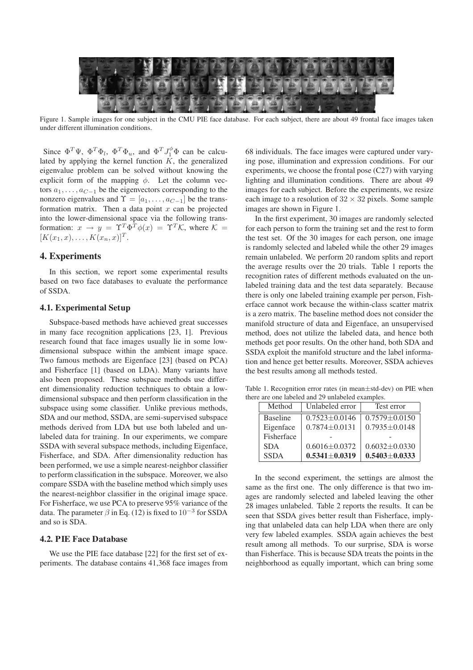

Figure 1. Sample images for one subject in the CMU PIE face database. For each subject, there are about 49 frontal face images taken under different illumination conditions.

Since  $\Phi^T \Psi$ ,  $\Phi^T \Phi_l$ ,  $\Phi^T \Phi_u$ , and  $\Phi^T J_1^{\phi} \Phi$  can be calculated by applying the kernel function  $K$ , the generalized eigenvalue problem can be solved without knowing the explicit form of the mapping  $\phi$ . Let the column vectors  $a_1, \ldots, a_{C-1}$  be the eigenvectors corresponding to the nonzero eigenvalues and  $\Upsilon=[a_1,\ldots,a_{C-1}]$  be the transformation matrix. Then a data point  $x$  can be projected into the lower-dimensional space via the following transformation:  $x \to y = \Upsilon^T \Phi^T \phi(x) = \Upsilon^T \mathcal{K}$ , where  $\mathcal{K} =$  $[K(x_1, x), \ldots, K(x_n, x)]^T$ .

# **4. Experiments**

In this section, we report some experimental results based on two face databases to evaluate the performance of SSDA.

### **4.1. Experimental Setup**

Subspace-based methods have achieved great successes in many face recognition applications [23, 1]. Previous research found that face images usually lie in some lowdimensional subspace within the ambient image space. Two famous methods are Eigenface [23] (based on PCA) and Fisherface [1] (based on LDA). Many variants have also been proposed. These subspace methods use different dimensionality reduction techniques to obtain a lowdimensional subspace and then perform classification in the subspace using some classifier. Unlike previous methods, SDA and our method, SSDA, are semi-supervised subspace methods derived from LDA but use both labeled and unlabeled data for training. In our experiments, we compare SSDA with several subspace methods, including Eigenface, Fisherface, and SDA. After dimensionality reduction has been performed, we use a simple nearest-neighbor classifier to perform classification in the subspace. Moreover, we also compare SSDA with the baseline method which simply uses the nearest-neighbor classifier in the original image space. For Fisherface, we use PCA to preserve 95% variance of the data. The parameter  $\beta$  in Eq. (12) is fixed to 10<sup>-3</sup> for SSDA and so is SDA.

### **4.2. PIE Face Database**

We use the PIE face database [22] for the first set of experiments. The database contains 41,368 face images from 68 individuals. The face images were captured under varying pose, illumination and expression conditions. For our experiments, we choose the frontal pose (C27) with varying lighting and illumination conditions. There are about 49 images for each subject. Before the experiments, we resize each image to a resolution of  $32 \times 32$  pixels. Some sample images are shown in Figure 1.

In the first experiment, 30 images are randomly selected for each person to form the training set and the rest to form the test set. Of the 30 images for each person, one image is randomly selected and labeled while the other 29 images remain unlabeled. We perform 20 random splits and report the average results over the 20 trials. Table 1 reports the recognition rates of different methods evaluated on the unlabeled training data and the test data separately. Because there is only one labeled training example per person, Fisherface cannot work because the within-class scatter matrix is a zero matrix. The baseline method does not consider the manifold structure of data and Eigenface, an unsupervised method, does not utilize the labeled data, and hence both methods get poor results. On the other hand, both SDA and SSDA exploit the manifold structure and the label information and hence get better results. Moreover, SSDA achieves the best results among all methods tested.

Table 1. Recognition error rates (in mean±std-dev) on PIE when there are one labeled and 29 unlabeled examples.

| Method          | Unlabeled error     | Test error          |
|-----------------|---------------------|---------------------|
| <b>Baseline</b> | $0.7523 \pm 0.0146$ | $0.7579 \pm 0.0150$ |
| Eigenface       | $0.7874 + 0.0131$   | $0.7935 \pm 0.0148$ |
| Fisherface      |                     |                     |
| <b>SDA</b>      | $0.6016 + 0.0372$   | $0.6032 \pm 0.0330$ |
| <b>SSDA</b>     | $0.5341 \pm 0.0319$ | $0.5403 \pm 0.0333$ |

In the second experiment, the settings are almost the same as the first one. The only difference is that two images are randomly selected and labeled leaving the other 28 images unlabeled. Table 2 reports the results. It can be seen that SSDA gives better result than Fisherface, implying that unlabeled data can help LDA when there are only very few labeled examples. SSDA again achieves the best result among all methods. To our surprise, SDA is worse than Fisherface. This is because SDA treats the points in the neighborhood as equally important, which can bring some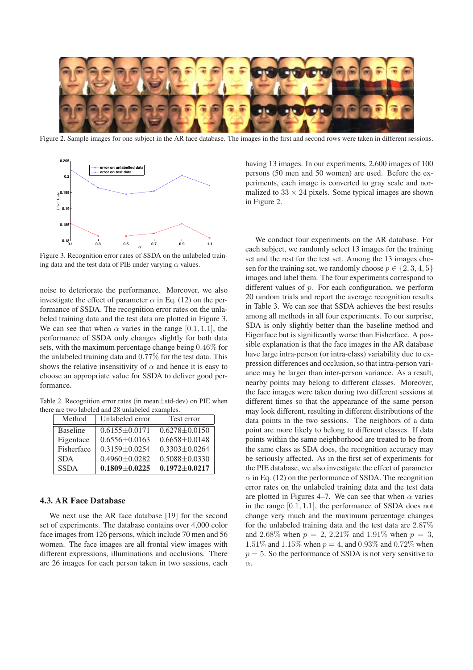

Figure 2. Sample images for one subject in the AR face database. The images in the first and second rows were taken in different sessions.



Figure 3. Recognition error rates of SSDA on the unlabeled training data and the test data of PIE under varying  $\alpha$  values.

noise to deteriorate the performance. Moreover, we also investigate the effect of parameter  $\alpha$  in Eq. (12) on the performance of SSDA. The recognition error rates on the unlabeled training data and the test data are plotted in Figure 3. We can see that when  $\alpha$  varies in the range [0.1, 1.1], the performance of SSDA only changes slightly for both data sets, with the maximum percentage change being 0.46% for the unlabeled training data and 0.77% for the test data. This shows the relative insensitivity of  $\alpha$  and hence it is easy to choose an appropriate value for SSDA to deliver good performance.

Table 2. Recognition error rates (in mean±std-dev) on PIE when there are two labeled and 28 unlabeled examples.

| Method          | Unlabeled error     | Test error          |
|-----------------|---------------------|---------------------|
| <b>Baseline</b> | $0.6155 + 0.0171$   | $0.6278 \pm 0.0150$ |
| Eigenface       | $0.6556 \pm 0.0163$ | $0.6658 + 0.0148$   |
| Fisherface      | $0.3159 + 0.0254$   | $0.3303 + 0.0264$   |
| <b>SDA</b>      | $0.4960 \pm 0.0282$ | $0.5088 \pm 0.0330$ |
| <b>SSDA</b>     | $0.1809 \pm 0.0225$ | $0.1972 \pm 0.0217$ |

#### **4.3. AR Face Database**

We next use the AR face database [19] for the second set of experiments. The database contains over 4,000 color face images from 126 persons, which include 70 men and 56 women. The face images are all frontal view images with different expressions, illuminations and occlusions. There are 26 images for each person taken in two sessions, each having 13 images. In our experiments, 2,600 images of 100 persons (50 men and 50 women) are used. Before the experiments, each image is converted to gray scale and normalized to  $33 \times 24$  pixels. Some typical images are shown in Figure 2.

We conduct four experiments on the AR database. For each subject, we randomly select 13 images for the training set and the rest for the test set. Among the 13 images chosen for the training set, we randomly choose  $p \in \{2, 3, 4, 5\}$ images and label them. The four experiments correspond to different values of  $p$ . For each configuration, we perform 20 random trials and report the average recognition results in Table 3. We can see that SSDA achieves the best results among all methods in all four experiments. To our surprise, SDA is only slightly better than the baseline method and Eigenface but is significantly worse than Fisherface. A possible explanation is that the face images in the AR database have large intra-person (or intra-class) variability due to expression differences and occlusion, so that intra-person variance may be larger than inter-person variance. As a result, nearby points may belong to different classes. Moreover, the face images were taken during two different sessions at different times so that the appearance of the same person may look different, resulting in different distributions of the data points in the two sessions. The neighbors of a data point are more likely to belong to different classes. If data points within the same neighborhood are treated to be from the same class as SDA does, the recognition accuracy may be seriously affected. As in the first set of experiments for the PIE database, we also investigate the effect of parameter  $\alpha$  in Eq. (12) on the performance of SSDA. The recognition error rates on the unlabeled training data and the test data are plotted in Figures 4–7. We can see that when  $\alpha$  varies in the range [0.1, 1.1], the performance of SSDA does not change very much and the maximum percentage changes for the unlabeled training data and the test data are 2.87% and 2.68% when  $p = 2, 2.21\%$  and 1.91% when  $p = 3$ , 1.51% and 1.15% when  $p = 4$ , and 0.93% and 0.72% when  $p = 5$ . So the performance of SSDA is not very sensitive to  $\alpha$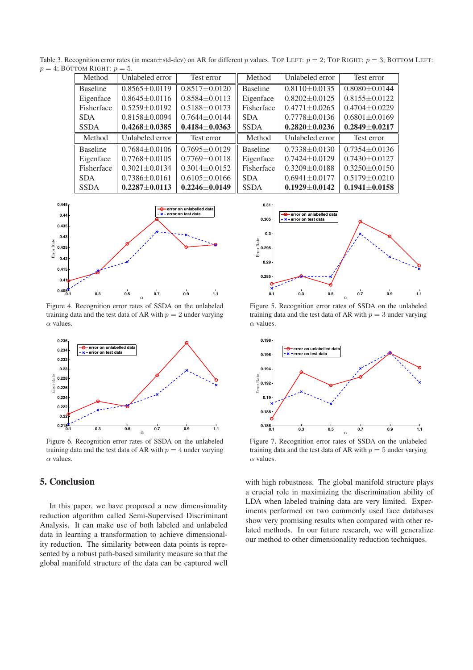Table 3. Recognition error rates (in mean $\pm$ std-dev) on AR for different p values. TOP LEFT:  $p = 2$ ; TOP RIGHT:  $p = 3$ ; BOTTOM LEFT:  $p = 4$ ; BOTTOM RIGHT:  $p = 5$ .

| Method          | Unlabeled error     | Test error          | Method          | Unlabeled error     | Test error          |
|-----------------|---------------------|---------------------|-----------------|---------------------|---------------------|
| <b>Baseline</b> | $0.8565 \pm 0.0119$ | $0.8517 \pm 0.0120$ | <b>Baseline</b> | $0.8110\pm0.0135$   | $0.8080 \pm 0.0144$ |
| Eigenface       | $0.8645 \pm 0.0116$ | $0.8584 \pm 0.0113$ | Eigenface       | $0.8202 \pm 0.0125$ | $0.8155 \pm 0.0122$ |
| Fisherface      | $0.5259 \pm 0.0192$ | $0.5188 \pm 0.0173$ | Fisherface      | $0.4771 \pm 0.0265$ | $0.4704 \pm 0.0229$ |
| <b>SDA</b>      | $0.8158 \pm 0.0094$ | $0.7644 \pm 0.0144$ | <b>SDA</b>      | $0.7778 \pm 0.0136$ | $0.6801 \pm 0.0169$ |
| <b>SSDA</b>     | $0.4268 \pm 0.0385$ | $0.4184 \pm 0.0363$ | <b>SSDA</b>     | $0.2820\pm0.0236$   | $0.2849 \pm 0.0217$ |
|                 |                     |                     |                 |                     |                     |
| Method          | Unlabeled error     | Test error          | Method          | Unlabeled error     | Test error          |
| <b>Baseline</b> | $0.7684 \pm 0.0106$ | $0.7695 \pm 0.0129$ | <b>Baseline</b> | $0.7338 \pm 0.0130$ | $0.7354 \pm 0.0136$ |
| Eigenface       | $0.7768 \pm 0.0105$ | $0.7769 \pm 0.0118$ | Eigenface       | $0.7424 \pm 0.0129$ | $0.7430 \pm 0.0127$ |
| Fisherface      | $0.3021 \pm 0.0134$ | $0.3014 \pm 0.0152$ | Fisherface      | $0.3209 + 0.0188$   | $0.3250 \pm 0.0150$ |
| <b>SDA</b>      | $0.7386 \pm 0.0161$ | $0.6105 \pm 0.0166$ | <b>SDA</b>      | $0.6941 \pm 0.0177$ | $0.5179 \pm 0.0210$ |



Figure 4. Recognition error rates of SSDA on the unlabeled training data and the test data of AR with  $p = 2$  under varying  $\alpha$  values.



Figure 6. Recognition error rates of SSDA on the unlabeled training data and the test data of AR with  $p = 4$  under varying  $\alpha$  values.

# **5. Conclusion**

In this paper, we have proposed a new dimensionality reduction algorithm called Semi-Supervised Discriminant Analysis. It can make use of both labeled and unlabeled data in learning a transformation to achieve dimensionality reduction. The similarity between data points is represented by a robust path-based similarity measure so that the global manifold structure of the data can be captured well



Figure 5. Recognition error rates of SSDA on the unlabeled training data and the test data of AR with  $p = 3$  under varying  $\alpha$  values.



Figure 7. Recognition error rates of SSDA on the unlabeled training data and the test data of AR with  $p = 5$  under varying  $\alpha$  values.

with high robustness. The global manifold structure plays a crucial role in maximizing the discrimination ability of LDA when labeled training data are very limited. Experiments performed on two commonly used face databases show very promising results when compared with other related methods. In our future research, we will generalize our method to other dimensionality reduction techniques.